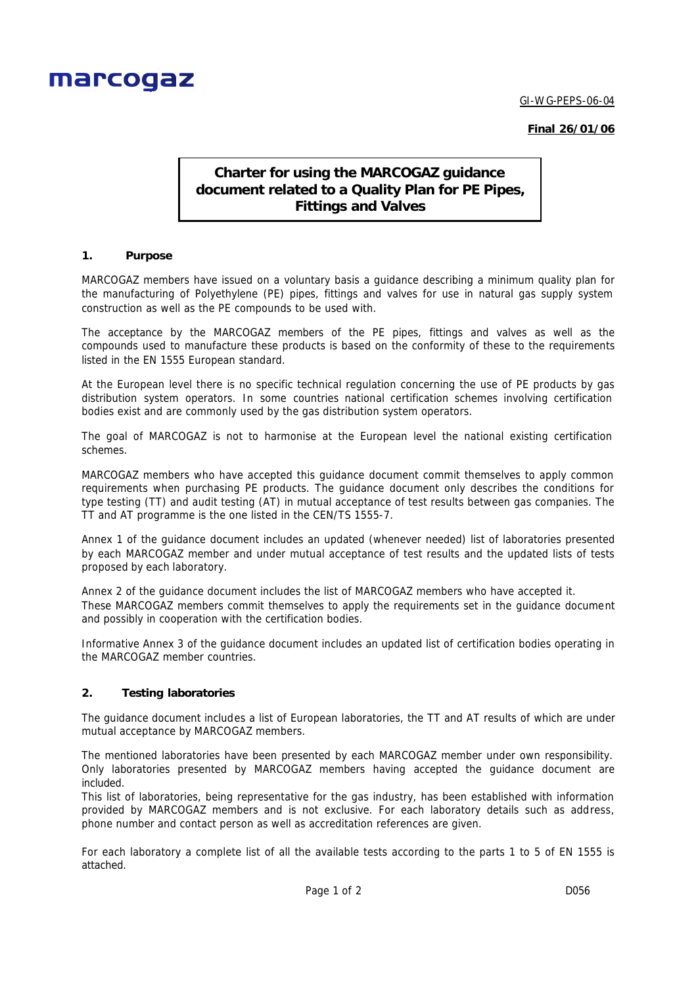

GI-WG-PEPS-06-04

**Final 26/01/06**

# **Charter for using the MARCOGAZ guidance document related to a Quality Plan for PE Pipes, Fittings and Valves**

#### **1. Purpose**

MARCOGAZ members have issued on a voluntary basis a guidance describing a minimum quality plan for the manufacturing of Polyethylene (PE) pipes, fittings and valves for use in natural gas supply system construction as well as the PE compounds to be used with.

The acceptance by the MARCOGAZ members of the PE pipes, fittings and valves as well as the compounds used to manufacture these products is based on the conformity of these to the requirements listed in the EN 1555 European standard.

At the European level there is no specific technical regulation concerning the use of PE products by gas distribution system operators. In some countries national certification schemes involving certification bodies exist and are commonly used by the gas distribution system operators.

The goal of MARCOGAZ is not to harmonise at the European level the national existing certification schemes.

MARCOGAZ members who have accepted this guidance document commit themselves to apply common requirements when purchasing PE products. The guidance document only describes the conditions for type testing (TT) and audit testing (AT) in mutual acceptance of test results between gas companies. The TT and AT programme is the one listed in the CEN/TS 1555-7.

Annex 1 of the guidance document includes an updated (whenever needed) list of laboratories presented by each MARCOGAZ member and under mutual acceptance of test results and the updated lists of tests proposed by each laboratory.

Annex 2 of the guidance document includes the list of MARCOGAZ members who have accepted it. These MARCOGAZ members commit themselves to apply the requirements set in the guidance document and possibly in cooperation with the certification bodies.

Informative Annex 3 of the guidance document includes an updated list of certification bodies operating in the MARCOGAZ member countries.

#### **2. Testing laboratories**

The guidance document includes a list of European laboratories, the TT and AT results of which are under mutual acceptance by MARCOGAZ members.

The mentioned laboratories have been presented by each MARCOGAZ member under own responsibility. Only laboratories presented by MARCOGAZ members having accepted the guidance document are included.

This list of laboratories, being representative for the gas industry, has been established with information provided by MARCOGAZ members and is not exclusive. For each laboratory details such as address, phone number and contact person as well as accreditation references are given.

For each laboratory a complete list of all the available tests according to the parts 1 to 5 of EN 1555 is attached.